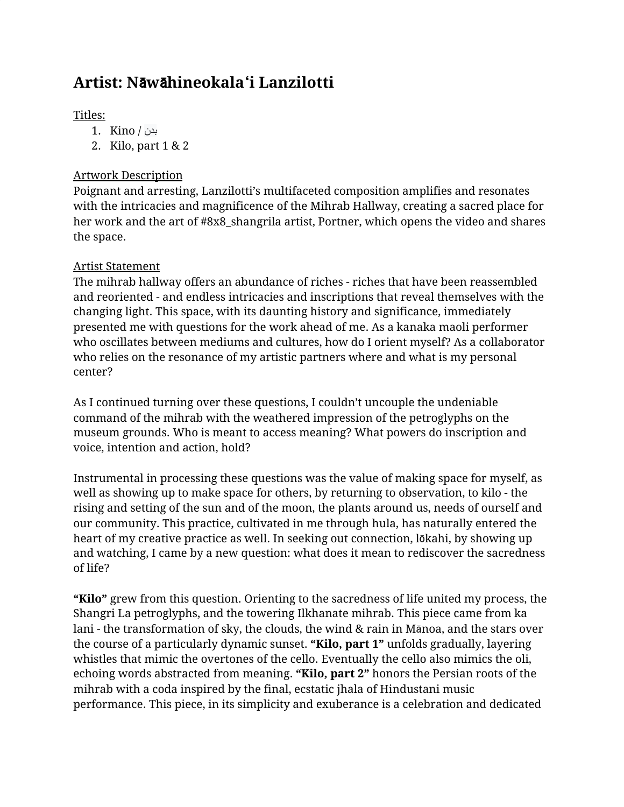# **Artist: N**ā**w**ā**hineokala**ʻ**i Lanzilotti**

Titles:

- بدن / Kino 1.
- 2. Kilo, part 1 & 2

### Artwork Description

Poignant and arresting, Lanzilotti's multifaceted composition amplifies and resonates with the intricacies and magnificence of the Mihrab Hallway, creating a sacred place for her work and the art of #8x8\_shangrila artist, Portner, which opens the video and shares the space.

## Artist Statement

The mihrab hallway offers an abundance of riches - riches that have been reassembled and reoriented - and endless intricacies and inscriptions that reveal themselves with the changing light. This space, with its daunting history and significance, immediately presented me with questions for the work ahead of me. As a kanaka maoli performer who oscillates between mediums and cultures, how do I orient myself? As a collaborator who relies on the resonance of my artistic partners where and what is my personal center?

As I continued turning over these questions, I couldn't uncouple the undeniable command of the mihrab with the weathered impression of the petroglyphs on the museum grounds. Who is meant to access meaning? What powers do inscription and voice, intention and action, hold?

Instrumental in processing these questions was the value of making space for myself, as well as showing up to make space for others, by returning to observation, to kilo - the rising and setting of the sun and of the moon, the plants around us, needs of ourself and our community. This practice, cultivated in me through hula, has naturally entered the heart of my creative practice as well. In seeking out connection, lōkahi, by showing up and watching, I came by a new question: what does it mean to rediscover the sacredness of life?

**"Kilo"** grew from this question. Orienting to the sacredness of life united my process, the Shangri La petroglyphs, and the towering Ilkhanate mihrab. This piece came from ka lani - the transformation of sky, the clouds, the wind & rain in Mānoa, and the stars over the course of a particularly dynamic sunset. **"Kilo, part 1"** unfolds gradually, layering whistles that mimic the overtones of the cello. Eventually the cello also mimics the oli, echoing words abstracted from meaning. **"Kilo, part 2"** honors the Persian roots of the mihrab with a coda inspired by the final, ecstatic jhala of Hindustani music performance. This piece, in its simplicity and exuberance is a celebration and dedicated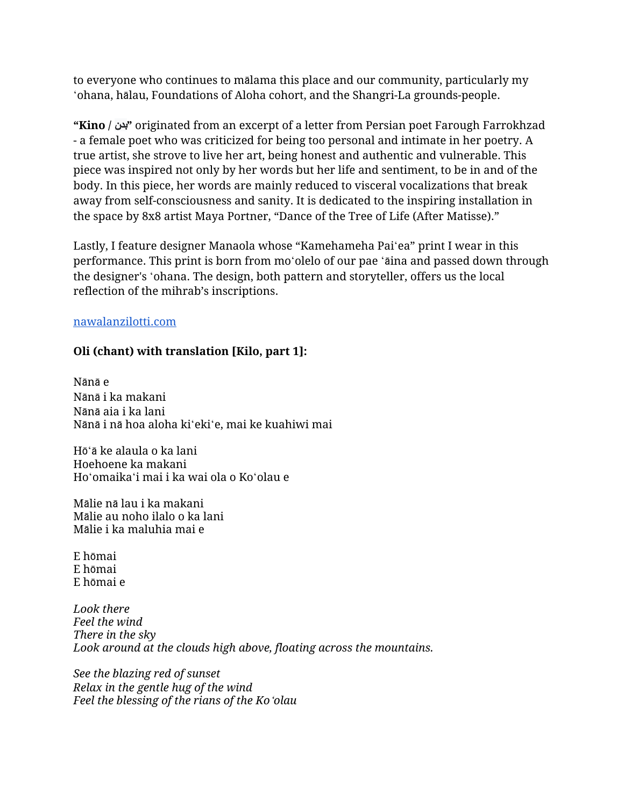to everyone who continues to mālama this place and our community, particularly my ʻohana, hālau, Foundations of Aloha cohort, and the Shangri-La grounds-people.

**"Kino /** بدن **"**originated from an excerpt of a letter from Persian poet Farough Farrokhzad - a female poet who was criticized for being too personal and intimate in her poetry. A true artist, she strove to live her art, being honest and authentic and vulnerable. This piece was inspired not only by her words but her life and sentiment, to be in and of the body. In this piece, her words are mainly reduced to visceral vocalizations that break away from self-consciousness and sanity. It is dedicated to the inspiring installation in the space by 8x8 artist Maya Portner, "Dance of the Tree of Life (After Matisse)."

Lastly, I feature designer Manaola whose "Kamehameha Paiʻea" print I wear in this performance. This print is born from moʻolelo of our pae ʻāina and passed down through the designer's ʻohana. The design, both pattern and storyteller, offers us the local reflection of the mihrab's inscriptions.

#### [nawalanzilotti.com](https://www.nawalanzilotti.com/)

#### **Oli (chant) with translation [Kilo, part 1]:**

Nānā e Nānā i ka makani Nānā aia i ka lani Nānā i nā hoa aloha kiʻekiʻe, mai ke kuahiwi mai

Hōʻā ke alaula o ka lani Hoehoene ka makani Hoʻomaikaʻi mai i ka wai ola o Koʻolau e

Mālie nā lau i ka makani Mālie au noho ilalo o ka lani Mālie i ka maluhia mai e

E hōmai E hōmai E hōmai e

*Look there Feel the wind There in the sky Look around at the clouds high above, floating across the mountains.*

*See the blazing red of sunset Relax in the gentle hug of the wind Feel the blessing of the rians of the Ko*ʻ*olau*